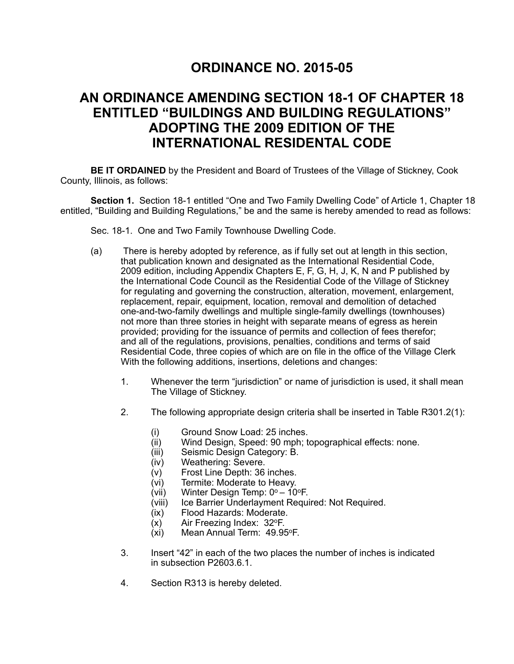## **ORDINANCE NO. 2015-05**

## **AN ORDINANCE AMENDING SECTION 18-1 OF CHAPTER 18 ENTITLED "BUILDINGS AND BUILDING REGULATIONS" ADOPTING THE 2009 EDITION OF THE INTERNATIONAL RESIDENTAL CODE**

 **BE IT ORDAINED** by the President and Board of Trustees of the Village of Stickney, Cook County, Illinois, as follows:

**Section 1.** Section 18-1 entitled "One and Two Family Dwelling Code" of Article 1, Chapter 18 entitled, "Building and Building Regulations," be and the same is hereby amended to read as follows:

Sec. 18-1. One and Two Family Townhouse Dwelling Code.

- (a) There is hereby adopted by reference, as if fully set out at length in this section, that publication known and designated as the International Residential Code, 2009 edition, including Appendix Chapters E, F, G, H, J, K, N and P published by the International Code Council as the Residential Code of the Village of Stickney for regulating and governing the construction, alteration, movement, enlargement, replacement, repair, equipment, location, removal and demolition of detached one-and-two-family dwellings and multiple single-family dwellings (townhouses) not more than three stories in height with separate means of egress as herein provided; providing for the issuance of permits and collection of fees therefor; and all of the regulations, provisions, penalties, conditions and terms of said Residential Code, three copies of which are on file in the office of the Village Clerk With the following additions, insertions, deletions and changes:
	- 1. Whenever the term "jurisdiction" or name of jurisdiction is used, it shall mean The Village of Stickney.
	- 2. The following appropriate design criteria shall be inserted in Table R301.2(1):
		- (i) Ground Snow Load: 25 inches.<br>(ii) Wind Design, Speed: 90 mph; to
		- Wind Design, Speed: 90 mph; topographical effects: none.
		- (iii) Seismic Design Category: B.
		- (iv) Weathering: Severe.
		- (v) Frost Line Depth: 36 inches.
		- (vi) Termite: Moderate to Heavy.
		- (vii) Winter Design Temp:  $0^\circ 10^\circ F$ .
		- (viii) Ice Barrier Underlayment Required: Not Required.
		- (ix) Flood Hazards: Moderate.
		- $(x)$  Air Freezing Index: 32 $\textdegree$ F.
		- (xi) Mean Annual Term: 49.95oF.
	- 3. Insert "42" in each of the two places the number of inches is indicated in subsection P2603.6.1.
	- 4. Section R313 is hereby deleted.